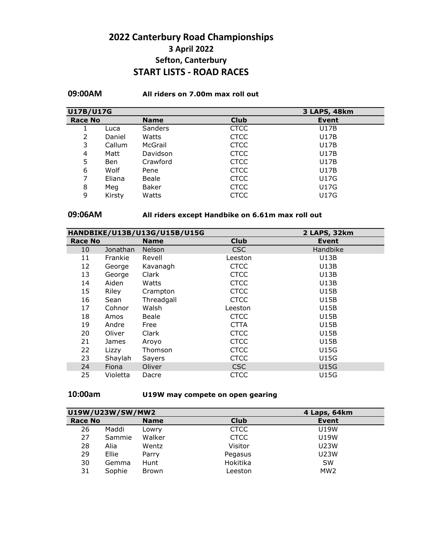## **2022 Canterbury Road Championships 3 April 2022 Sefton, Canterbury START LISTS - ROAD RACES**

### **09:00AM All riders on 7.00m max roll out**

| U17B/U17G<br>3 LAPS, 48km |        |                |             |              |  |
|---------------------------|--------|----------------|-------------|--------------|--|
| <b>Race No</b>            |        | <b>Name</b>    | <b>Club</b> | <b>Event</b> |  |
|                           | Luca   | <b>Sanders</b> | <b>CTCC</b> | U17B         |  |
| 2                         | Daniel | Watts          | <b>CTCC</b> | U17B         |  |
| 3                         | Callum | McGrail        | <b>CTCC</b> | U17B         |  |
| 4                         | Matt   | Davidson       | <b>CTCC</b> | U17B         |  |
| 5                         | Ben    | Crawford       | <b>CTCC</b> | U17B         |  |
| 6                         | Wolf   | Pene           | <b>CTCC</b> | U17B         |  |
| 7                         | Eliana | Beale          | <b>CTCC</b> | <b>U17G</b>  |  |
| 8                         | Meg    | Baker          | <b>CTCC</b> | <b>U17G</b>  |  |
| 9                         | Kirsty | Watts          | <b>CTCC</b> | U17G         |  |

## **09:06AM All riders except Handbike on 6.61m max roll out**

|                |          | HANDBIKE/U13B/U13G/U15B/U15G |             | 2 LAPS, 32km |  |
|----------------|----------|------------------------------|-------------|--------------|--|
| <b>Race No</b> |          | <b>Name</b>                  | <b>Club</b> | Event        |  |
| 10             | Jonathan | <b>Nelson</b>                | <b>CSC</b>  | Handbike     |  |
| 11             | Frankie  | Revell                       | Leeston     | <b>U13B</b>  |  |
| 12             | George   | Kavanagh                     | <b>CTCC</b> | <b>U13B</b>  |  |
| 13             | George   | Clark                        | <b>CTCC</b> | <b>U13B</b>  |  |
| 14             | Aiden    | Watts                        | <b>CTCC</b> | <b>U13B</b>  |  |
| 15             | Riley    | Crampton                     | <b>CTCC</b> | U15B         |  |
| 16             | Sean     | Threadgall                   | <b>CTCC</b> | <b>U15B</b>  |  |
| 17             | Cohnor   | Walsh                        | Leeston     | <b>U15B</b>  |  |
| 18             | Amos     | Beale                        | <b>CTCC</b> | <b>U15B</b>  |  |
| 19             | Andre    | Free                         | <b>CTTA</b> | U15B         |  |
| 20             | Oliver   | Clark                        | <b>CTCC</b> | <b>U15B</b>  |  |
| 21             | James    | Aroyo                        | <b>CTCC</b> | <b>U15B</b>  |  |
| 22             | Lizzy    | Thomson                      | <b>CTCC</b> | <b>U15G</b>  |  |
| 23             | Shaylah  | Sayers                       | <b>CTCC</b> | <b>U15G</b>  |  |
| 24             | Fiona    | Oliver                       | <b>CSC</b>  | <b>U15G</b>  |  |
| 25             | Violetta | Dacre                        | <b>CTCC</b> | <b>U15G</b>  |  |

## **10:00am U19W may compete on open gearing**

| U19W/U23W/SW/MW2 |         |              |             | 4 Laps, 64km    |  |  |
|------------------|---------|--------------|-------------|-----------------|--|--|
|                  | Race No |              | <b>Club</b> | <b>Event</b>    |  |  |
| 26               | Maddi   | Lowry        | <b>CTCC</b> | <b>U19W</b>     |  |  |
| 27               | Sammie  | Walker       | <b>CTCC</b> | <b>U19W</b>     |  |  |
| 28               | Alia    | Wentz        | Visitor     | <b>U23W</b>     |  |  |
| 29               | Ellie   | Parry        | Pegasus     | <b>U23W</b>     |  |  |
| 30               | Gemma   | Hunt         | Hokitika    | <b>SW</b>       |  |  |
| 31               | Sophie  | <b>Brown</b> | Leeston     | MW <sub>2</sub> |  |  |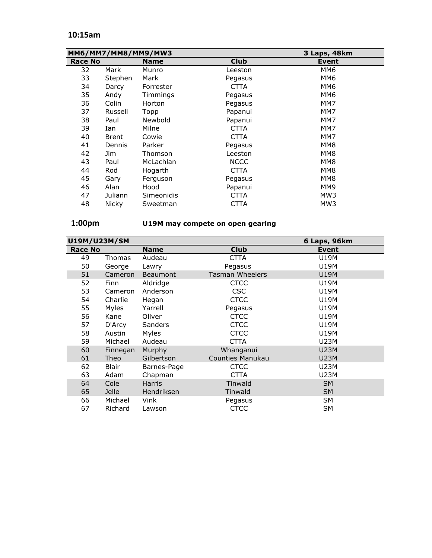## **10:15am**

|                | MM6/MM7/MM8/MM9/MW3 |             |             | 3 Laps, 48km |
|----------------|---------------------|-------------|-------------|--------------|
| <b>Race No</b> |                     | <b>Name</b> | <b>Club</b> | <b>Event</b> |
| 32             | Mark                | Munro       | Leeston     | MM6          |
| 33             | Stephen             | Mark        | Pegasus     | MM6          |
| 34             | Darcy               | Forrester   | <b>CTTA</b> | MM6          |
| 35             | Andy                | Timmings    | Pegasus     | MM6          |
| 36             | Colin               | Horton      | Pegasus     | MM7          |
| 37             | Russell             | Topp        | Papanui     | MM7          |
| 38             | Paul                | Newbold     | Papanui     | MM7          |
| 39             | Ian                 | Milne       | <b>CTTA</b> | MM7          |
| 40             | Brent               | Cowie       | <b>CTTA</b> | MM7          |
| 41             | Dennis              | Parker      | Pegasus     | MM8          |
| 42             | Jim.                | Thomson     | Leeston     | MM8          |
| 43             | Paul                | McLachlan   | <b>NCCC</b> | MM8          |
| 44             | Rod                 | Hogarth     | <b>CTTA</b> | MM8          |
| 45             | Gary                | Ferguson    | Pegasus     | MM8          |
| 46             | Alan                | Hood        | Papanui     | MM9          |
| 47             | Juliann             | Simeonidis  | <b>CTTA</b> | MW3          |
| 48             | Nicky               | Sweetman    | CTTA        | MW3          |

# **1:00pm U19M may compete on open gearing**

| U19M/U23M/SM   |              |                 |                         | 6 Laps, 96km |
|----------------|--------------|-----------------|-------------------------|--------------|
| <b>Race No</b> |              | <b>Name</b>     | <b>Club</b>             | <b>Event</b> |
| 49             | Thomas       | Audeau          | <b>CTTA</b>             | U19M         |
| 50             | George       | Lawry           | Pegasus                 | U19M         |
| 51             | Cameron      | <b>Beaumont</b> | <b>Tasman Wheelers</b>  | U19M         |
| 52             | Finn         | Aldridge        | <b>CTCC</b>             | U19M         |
| 53             | Cameron      | Anderson        | <b>CSC</b>              | <b>U19M</b>  |
| 54             | Charlie      | Hegan           | <b>CTCC</b>             | U19M         |
| 55             | Myles        | Yarrell         | Pegasus                 | <b>U19M</b>  |
| 56             | Kane         | Oliver          | <b>CTCC</b>             | <b>U19M</b>  |
| 57             | D'Arcy       | Sanders         | <b>CTCC</b>             | <b>U19M</b>  |
| 58             | Austin       | Myles           | <b>CTCC</b>             | <b>U19M</b>  |
| 59             | Michael      | Audeau          | CTTA                    | <b>U23M</b>  |
| 60             | Finnegan     | Murphy          | Whanganui               | <b>U23M</b>  |
| 61             | Theo         | Gilbertson      | <b>Counties Manukau</b> | <b>U23M</b>  |
| 62             | <b>Blair</b> | Barnes-Page     | <b>CTCC</b>             | <b>U23M</b>  |
| 63             | Adam         | Chapman         | <b>CTTA</b>             | U23M         |
| 64             | Cole         | <b>Harris</b>   | Tinwald                 | <b>SM</b>    |
| 65             | Jelle        | Hendriksen      | Tinwald                 | <b>SM</b>    |
| 66             | Michael      | Vink            | Pegasus                 | SM           |
| 67             | Richard      | Lawson          | <b>CTCC</b>             | <b>SM</b>    |